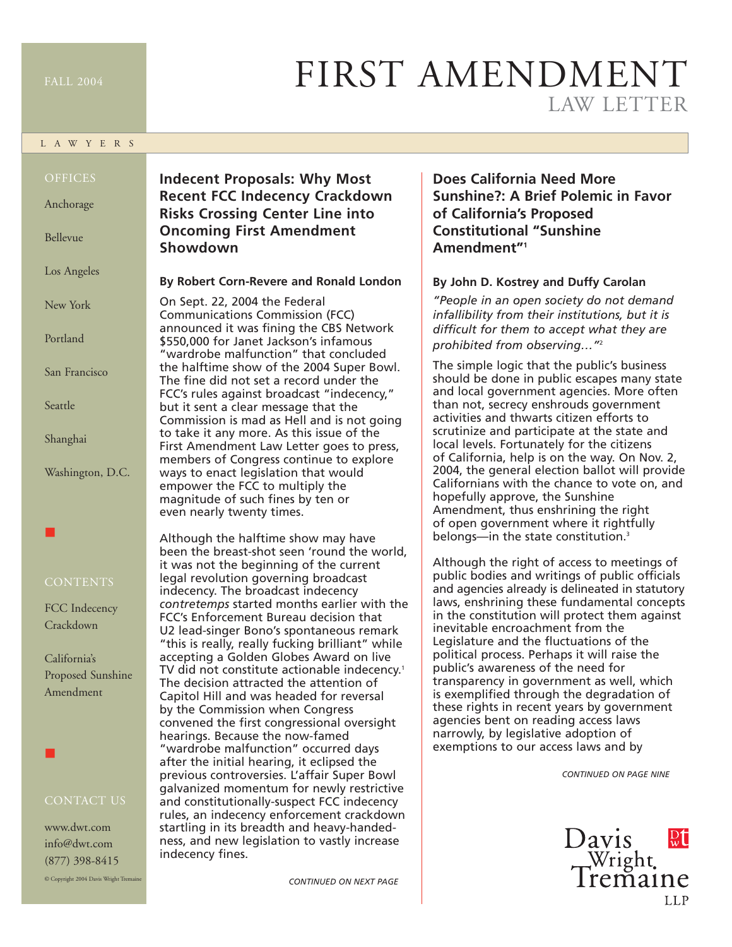#### L A W Y E R S

Anchorage

Bellevue

Los Angeles

New York

Portland

San Francisco

Seattle

Shanghai

Washington, D.C.

### ■

FCC Indecency Crackdown

California's Proposed Sunshine Amendment

■

www.dwt.com info@dwt.com (877) 398-8415

© Copyright 2004 Davis Wright Tremaine

### **Indecent Proposals: Why Most Recent FCC Indecency Crackdown Risks Crossing Center Line into Oncoming First Amendment Showdown**

#### **By Robert Corn-Revere and Ronald London**

On Sept. 22, 2004 the Federal Communications Commission (FCC) announced it was fining the CBS Network \$550,000 for Janet Jackson's infamous "wardrobe malfunction" that concluded the halftime show of the 2004 Super Bowl. The fine did not set a record under the FCC's rules against broadcast "indecency," but it sent a clear message that the Commission is mad as Hell and is not going to take it any more. As this issue of the First Amendment Law Letter goes to press, members of Congress continue to explore ways to enact legislation that would empower the FCC to multiply the magnitude of such fines by ten or even nearly twenty times.

Although the halftime show may have been the breast-shot seen 'round the world, it was not the beginning of the current legal revolution governing broadcast indecency. The broadcast indecency *contretemps* started months earlier with the FCC's Enforcement Bureau decision that U2 lead-singer Bono's spontaneous remark "this is really, really fucking brilliant" while accepting a Golden Globes Award on live TV did not constitute actionable indecency.<sup>1</sup> The decision attracted the attention of Capitol Hill and was headed for reversal by the Commission when Congress convened the first congressional oversight hearings. Because the now-famed "wardrobe malfunction" occurred days after the initial hearing, it eclipsed the previous controversies. L'affair Super Bowl galvanized momentum for newly restrictive and constitutionally-suspect FCC indecency rules, an indecency enforcement crackdown startling in its breadth and heavy-handedness, and new legislation to vastly increase indecency fines.

*CONTINUED ON NEXT PAGE*

# FIRST AMENDMENT LAW LETTER

**Does California Need More Sunshine?: A Brief Polemic in Favor of California's Proposed Constitutional "Sunshine Amendment"1**

#### **By John D. Kostrey and Duffy Carolan**

*"People in an open society do not demand infallibility from their institutions, but it is difficult for them to accept what they are prohibited from observing…"*<sup>2</sup>

The simple logic that the public's business should be done in public escapes many state and local government agencies. More often than not, secrecy enshrouds government activities and thwarts citizen efforts to scrutinize and participate at the state and local levels. Fortunately for the citizens of California, help is on the way. On Nov. 2, 2004, the general election ballot will provide Californians with the chance to vote on, and hopefully approve, the Sunshine Amendment, thus enshrining the right of open government where it rightfully belongs—in the state constitution.<sup>3</sup>

Although the right of access to meetings of public bodies and writings of public officials and agencies already is delineated in statutory laws, enshrining these fundamental concepts in the constitution will protect them against inevitable encroachment from the Legislature and the fluctuations of the political process. Perhaps it will raise the public's awareness of the need for transparency in government as well, which is exemplified through the degradation of these rights in recent years by government agencies bent on reading access laws narrowly, by legislative adoption of exemptions to our access laws and by

*CONTINUED ON PAGE NINE*

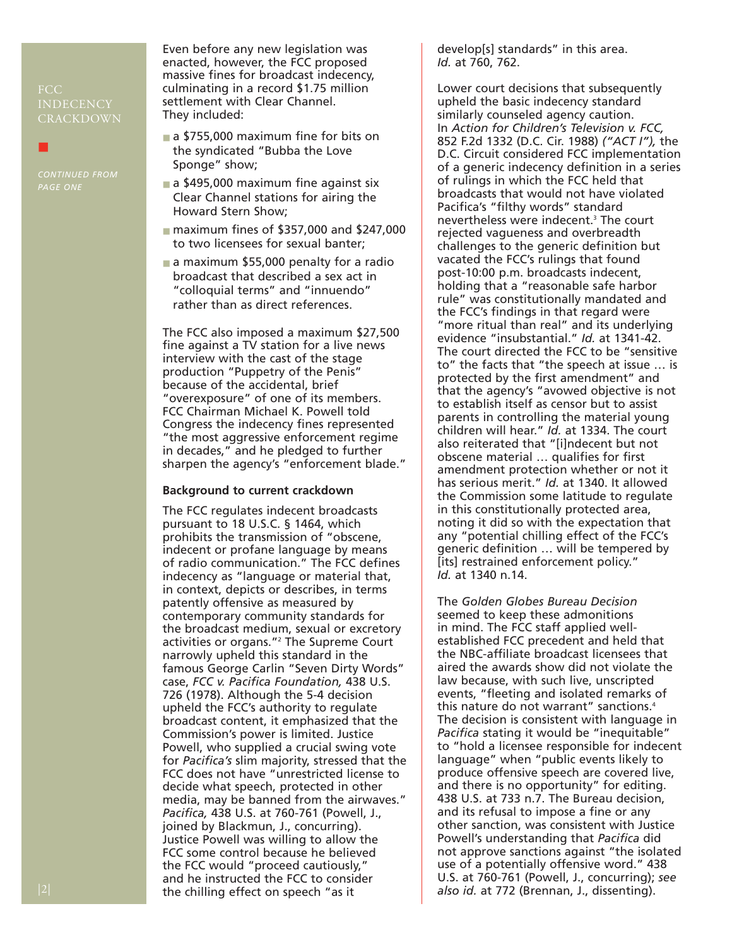## INDECENCY CRACKDOWN

*CONTINUED FROM PAGE ONE*

■

Even before any new legislation was enacted, however, the FCC proposed massive fines for broadcast indecency, culminating in a record \$1.75 million settlement with Clear Channel. They included:

- a \$755,000 maximum fine for bits on the syndicated "Bubba the Love Sponge" show;
- a \$495,000 maximum fine against six Clear Channel stations for airing the Howard Stern Show;
- maximum fines of \$357,000 and \$247,000 to two licensees for sexual banter;
- a maximum \$55,000 penalty for a radio broadcast that described a sex act in "colloquial terms" and "innuendo" rather than as direct references.

The FCC also imposed a maximum \$27,500 fine against a TV station for a live news interview with the cast of the stage production "Puppetry of the Penis" because of the accidental, brief "overexposure" of one of its members. FCC Chairman Michael K. Powell told Congress the indecency fines represented "the most aggressive enforcement regime in decades," and he pledged to further sharpen the agency's "enforcement blade."

#### **Background to current crackdown**

The FCC regulates indecent broadcasts pursuant to 18 U.S.C. § 1464, which prohibits the transmission of "obscene, indecent or profane language by means of radio communication." The FCC defines indecency as "language or material that, in context, depicts or describes, in terms patently offensive as measured by contemporary community standards for the broadcast medium, sexual or excretory activities or organs."<sup>2</sup> The Supreme Court narrowly upheld this standard in the famous George Carlin "Seven Dirty Words" case, *FCC v. Pacifica Foundation,* 438 U.S. 726 (1978). Although the 5-4 decision upheld the FCC's authority to regulate broadcast content, it emphasized that the Commission's power is limited. Justice Powell, who supplied a crucial swing vote for *Pacifica's* slim majority, stressed that the FCC does not have "unrestricted license to decide what speech, protected in other media, may be banned from the airwaves." *Pacifica,* 438 U.S. at 760-761 (Powell, J., joined by Blackmun, J., concurring). Justice Powell was willing to allow the FCC some control because he believed the FCC would "proceed cautiously," and he instructed the FCC to consider the chilling effect on speech "as it

develop[s] standards" in this area. *Id.* at 760, 762.

Lower court decisions that subsequently upheld the basic indecency standard similarly counseled agency caution. In *Action for Children's Television v. FCC,* 852 F.2d 1332 (D.C. Cir. 1988) *("ACT I"),* the D.C. Circuit considered FCC implementation of a generic indecency definition in a series of rulings in which the FCC held that broadcasts that would not have violated Pacifica's "filthy words" standard nevertheless were indecent.3 The court rejected vagueness and overbreadth challenges to the generic definition but vacated the FCC's rulings that found post-10:00 p.m. broadcasts indecent, holding that a "reasonable safe harbor rule" was constitutionally mandated and the FCC's findings in that regard were "more ritual than real" and its underlying evidence "insubstantial." *Id.* at 1341-42. The court directed the FCC to be "sensitive to" the facts that "the speech at issue … is protected by the first amendment" and that the agency's "avowed objective is not to establish itself as censor but to assist parents in controlling the material young children will hear." *Id.* at 1334. The court also reiterated that "[i]ndecent but not obscene material … qualifies for first amendment protection whether or not it has serious merit." *Id.* at 1340. It allowed the Commission some latitude to regulate in this constitutionally protected area, noting it did so with the expectation that any "potential chilling effect of the FCC's generic definition … will be tempered by [its] restrained enforcement policy." *Id.* at 1340 n.14.

The *Golden Globes Bureau Decision* seemed to keep these admonitions in mind. The FCC staff applied wellestablished FCC precedent and held that the NBC-affiliate broadcast licensees that aired the awards show did not violate the law because, with such live, unscripted events, "fleeting and isolated remarks of this nature do not warrant" sanctions.4 The decision is consistent with language in *Pacifica* stating it would be "inequitable" to "hold a licensee responsible for indecent language" when "public events likely to produce offensive speech are covered live, and there is no opportunity" for editing. 438 U.S. at 733 n.7. The Bureau decision, and its refusal to impose a fine or any other sanction, was consistent with Justice Powell's understanding that *Pacifica* did not approve sanctions against "the isolated use of a potentially offensive word." 438 U.S. at 760-761 (Powell, J., concurring); *see also id.* at 772 (Brennan, J., dissenting).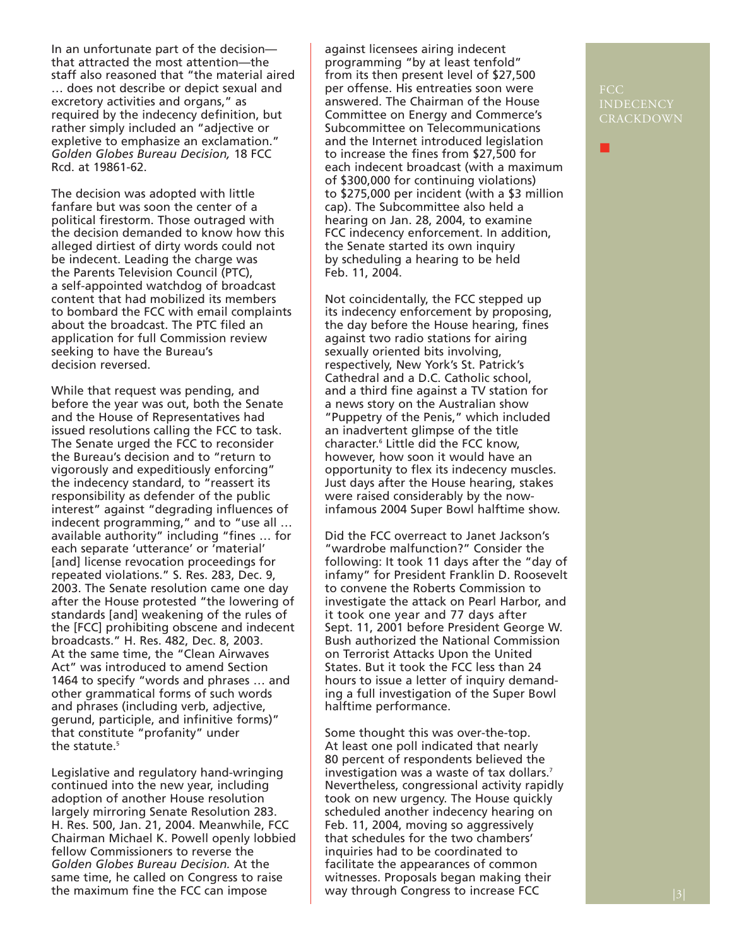In an unfortunate part of the decision that attracted the most attention—the staff also reasoned that "the material aired … does not describe or depict sexual and excretory activities and organs," as required by the indecency definition, but rather simply included an "adjective or expletive to emphasize an exclamation." *Golden Globes Bureau Decision,* 18 FCC Rcd. at 19861-62.

The decision was adopted with little fanfare but was soon the center of a political firestorm. Those outraged with the decision demanded to know how this alleged dirtiest of dirty words could not be indecent. Leading the charge was the Parents Television Council (PTC), a self-appointed watchdog of broadcast content that had mobilized its members to bombard the FCC with email complaints about the broadcast. The PTC filed an application for full Commission review seeking to have the Bureau's decision reversed.

While that request was pending, and before the year was out, both the Senate and the House of Representatives had issued resolutions calling the FCC to task. The Senate urged the FCC to reconsider the Bureau's decision and to "return to vigorously and expeditiously enforcing" the indecency standard, to "reassert its responsibility as defender of the public interest" against "degrading influences of indecent programming," and to "use all … available authority" including "fines … for each separate 'utterance' or 'material' [and] license revocation proceedings for repeated violations." S. Res. 283, Dec. 9, 2003. The Senate resolution came one day after the House protested "the lowering of standards [and] weakening of the rules of the [FCC] prohibiting obscene and indecent broadcasts." H. Res. 482, Dec. 8, 2003. At the same time, the "Clean Airwaves Act" was introduced to amend Section 1464 to specify "words and phrases … and other grammatical forms of such words and phrases (including verb, adjective, gerund, participle, and infinitive forms)" that constitute "profanity" under the statute.<sup>5</sup>

Legislative and regulatory hand-wringing continued into the new year, including adoption of another House resolution largely mirroring Senate Resolution 283. H. Res. 500, Jan. 21, 2004. Meanwhile, FCC Chairman Michael K. Powell openly lobbied fellow Commissioners to reverse the *Golden Globes Bureau Decision.* At the same time, he called on Congress to raise the maximum fine the FCC can impose

against licensees airing indecent programming "by at least tenfold" from its then present level of \$27,500 per offense. His entreaties soon were answered. The Chairman of the House Committee on Energy and Commerce's Subcommittee on Telecommunications and the Internet introduced legislation to increase the fines from \$27,500 for each indecent broadcast (with a maximum of \$300,000 for continuing violations) to \$275,000 per incident (with a \$3 million cap). The Subcommittee also held a hearing on Jan. 28, 2004, to examine FCC indecency enforcement. In addition, the Senate started its own inquiry by scheduling a hearing to be held Feb. 11, 2004.

Not coincidentally, the FCC stepped up its indecency enforcement by proposing, the day before the House hearing, fines against two radio stations for airing sexually oriented bits involving, respectively, New York's St. Patrick's Cathedral and a D.C. Catholic school, and a third fine against a TV station for a news story on the Australian show "Puppetry of the Penis," which included an inadvertent glimpse of the title character.6 Little did the FCC know, however, how soon it would have an opportunity to flex its indecency muscles. Just days after the House hearing, stakes were raised considerably by the nowinfamous 2004 Super Bowl halftime show.

Did the FCC overreact to Janet Jackson's "wardrobe malfunction?" Consider the following: It took 11 days after the "day of infamy" for President Franklin D. Roosevelt to convene the Roberts Commission to investigate the attack on Pearl Harbor, and it took one year and 77 days after Sept. 11, 2001 before President George W. Bush authorized the National Commission on Terrorist Attacks Upon the United States. But it took the FCC less than 24 hours to issue a letter of inquiry demanding a full investigation of the Super Bowl halftime performance.

Some thought this was over-the-top. At least one poll indicated that nearly 80 percent of respondents believed the investigation was a waste of tax dollars.7 Nevertheless, congressional activity rapidly took on new urgency. The House quickly scheduled another indecency hearing on Feb. 11, 2004, moving so aggressively that schedules for the two chambers' inquiries had to be coordinated to facilitate the appearances of common witnesses. Proposals began making their way through Congress to increase FCC

### INDECENCY CRACKDOWN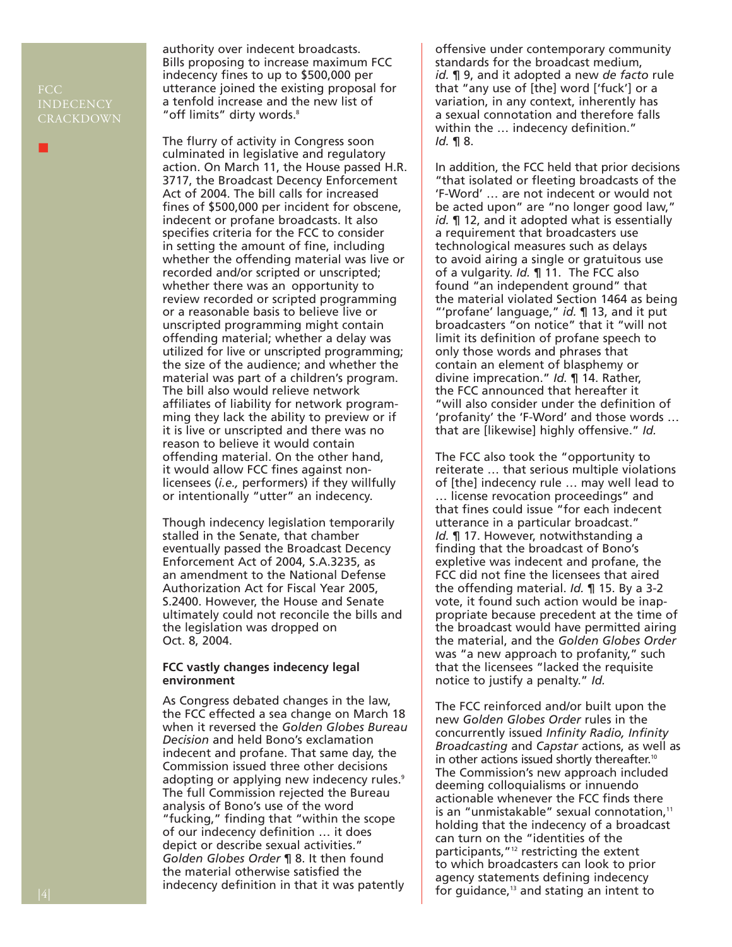### INDECENCY CRACKDOWN

■

authority over indecent broadcasts. Bills proposing to increase maximum FCC indecency fines to up to \$500,000 per utterance joined the existing proposal for a tenfold increase and the new list of "off limits" dirty words.<sup>8</sup>

The flurry of activity in Congress soon culminated in legislative and regulatory action. On March 11, the House passed H.R. 3717, the Broadcast Decency Enforcement Act of 2004. The bill calls for increased fines of \$500,000 per incident for obscene, indecent or profane broadcasts. It also specifies criteria for the FCC to consider in setting the amount of fine, including whether the offending material was live or recorded and/or scripted or unscripted; whether there was an opportunity to review recorded or scripted programming or a reasonable basis to believe live or unscripted programming might contain offending material; whether a delay was utilized for live or unscripted programming; the size of the audience; and whether the material was part of a children's program. The bill also would relieve network affiliates of liability for network programming they lack the ability to preview or if it is live or unscripted and there was no reason to believe it would contain offending material. On the other hand, it would allow FCC fines against nonlicensees (*i.e.,* performers) if they willfully or intentionally "utter" an indecency.

Though indecency legislation temporarily stalled in the Senate, that chamber eventually passed the Broadcast Decency Enforcement Act of 2004, S.A.3235, as an amendment to the National Defense Authorization Act for Fiscal Year 2005, S.2400. However, the House and Senate ultimately could not reconcile the bills and the legislation was dropped on Oct. 8, 2004.

#### **FCC vastly changes indecency legal environment**

As Congress debated changes in the law, the FCC effected a sea change on March 18 when it reversed the *Golden Globes Bureau Decision* and held Bono's exclamation indecent and profane. That same day, the Commission issued three other decisions adopting or applying new indecency rules.<sup>9</sup> The full Commission rejected the Bureau analysis of Bono's use of the word "fucking," finding that "within the scope of our indecency definition … it does depict or describe sexual activities." *Golden Globes Order* ¶ 8. It then found the material otherwise satisfied the indecency definition in that it was patently

offensive under contemporary community standards for the broadcast medium, *id.* ¶ 9, and it adopted a new *de facto* rule that "any use of [the] word ['fuck'] or a variation, in any context, inherently has a sexual connotation and therefore falls within the … indecency definition." *Id.* ¶ 8.

In addition, the FCC held that prior decisions "that isolated or fleeting broadcasts of the 'F-Word' … are not indecent or would not be acted upon" are "no longer good law," *id.* ¶ 12, and it adopted what is essentially a requirement that broadcasters use technological measures such as delays to avoid airing a single or gratuitous use of a vulgarity. *Id.* ¶ 11. The FCC also found "an independent ground" that the material violated Section 1464 as being "'profane' language," *id.* ¶ 13, and it put broadcasters "on notice" that it "will not limit its definition of profane speech to only those words and phrases that contain an element of blasphemy or divine imprecation." *Id.* ¶ 14. Rather, the FCC announced that hereafter it "will also consider under the definition of 'profanity' the 'F-Word' and those words … that are [likewise] highly offensive." *Id.* 

The FCC also took the "opportunity to reiterate … that serious multiple violations of [the] indecency rule … may well lead to … license revocation proceedings" and that fines could issue "for each indecent utterance in a particular broadcast." *Id.* ¶ 17. However, notwithstanding a finding that the broadcast of Bono's expletive was indecent and profane, the FCC did not fine the licensees that aired the offending material. *Id.* ¶ 15. By a 3-2 vote, it found such action would be inappropriate because precedent at the time of the broadcast would have permitted airing the material, and the *Golden Globes Order* was "a new approach to profanity," such that the licensees "lacked the requisite notice to justify a penalty." *Id.*

The FCC reinforced and/or built upon the new *Golden Globes Order* rules in the concurrently issued *Infinity Radio, Infinity Broadcasting* and *Capstar* actions, as well as in other actions issued shortly thereafter.<sup>10</sup> The Commission's new approach included deeming colloquialisms or innuendo actionable whenever the FCC finds there is an "unmistakable" sexual connotation,<sup>11</sup> holding that the indecency of a broadcast can turn on the "identities of the participants,"12 restricting the extent to which broadcasters can look to prior agency statements defining indecency for guidance, $13$  and stating an intent to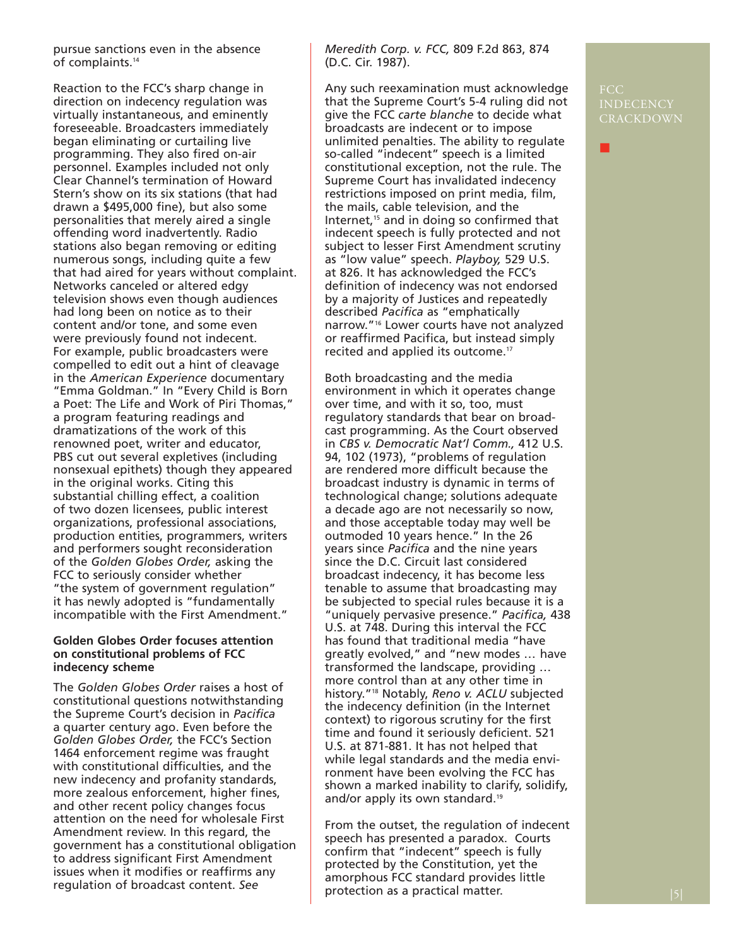pursue sanctions even in the absence of complaints.<sup>14</sup>

Reaction to the FCC's sharp change in direction on indecency regulation was virtually instantaneous, and eminently foreseeable. Broadcasters immediately began eliminating or curtailing live programming. They also fired on-air personnel. Examples included not only Clear Channel's termination of Howard Stern's show on its six stations (that had drawn a \$495,000 fine), but also some personalities that merely aired a single offending word inadvertently. Radio stations also began removing or editing numerous songs, including quite a few that had aired for years without complaint. Networks canceled or altered edgy television shows even though audiences had long been on notice as to their content and/or tone, and some even were previously found not indecent. For example, public broadcasters were compelled to edit out a hint of cleavage in the *American Experience* documentary "Emma Goldman." In "Every Child is Born a Poet: The Life and Work of Piri Thomas," a program featuring readings and dramatizations of the work of this renowned poet, writer and educator, PBS cut out several expletives (including nonsexual epithets) though they appeared in the original works. Citing this substantial chilling effect, a coalition of two dozen licensees, public interest organizations, professional associations, production entities, programmers, writers and performers sought reconsideration of the *Golden Globes Order,* asking the FCC to seriously consider whether "the system of government regulation" it has newly adopted is "fundamentally incompatible with the First Amendment."

#### **Golden Globes Order focuses attention on constitutional problems of FCC indecency scheme**

The *Golden Globes Order* raises a host of constitutional questions notwithstanding the Supreme Court's decision in *Pacifica* a quarter century ago. Even before the *Golden Globes Order,* the FCC's Section 1464 enforcement regime was fraught with constitutional difficulties, and the new indecency and profanity standards, more zealous enforcement, higher fines, and other recent policy changes focus attention on the need for wholesale First Amendment review. In this regard, the government has a constitutional obligation to address significant First Amendment issues when it modifies or reaffirms any regulation of broadcast content. *See*

*Meredith Corp. v. FCC,* 809 F.2d 863, 874 (D.C. Cir. 1987).

Any such reexamination must acknowledge that the Supreme Court's 5-4 ruling did not give the FCC *carte blanche* to decide what broadcasts are indecent or to impose unlimited penalties. The ability to regulate so-called "indecent" speech is a limited constitutional exception, not the rule. The Supreme Court has invalidated indecency restrictions imposed on print media, film, the mails, cable television, and the Internet, $15$  and in doing so confirmed that indecent speech is fully protected and not subject to lesser First Amendment scrutiny as "low value" speech. *Playboy,* 529 U.S. at 826. It has acknowledged the FCC's definition of indecency was not endorsed by a majority of Justices and repeatedly described *Pacifica* as "emphatically narrow."16 Lower courts have not analyzed or reaffirmed Pacifica, but instead simply recited and applied its outcome.17

Both broadcasting and the media environment in which it operates change over time, and with it so, too, must regulatory standards that bear on broadcast programming. As the Court observed in *CBS v. Democratic Nat'l Comm.,* 412 U.S. 94, 102 (1973), "problems of regulation are rendered more difficult because the broadcast industry is dynamic in terms of technological change; solutions adequate a decade ago are not necessarily so now, and those acceptable today may well be outmoded 10 years hence." In the 26 years since *Pacifica* and the nine years since the D.C. Circuit last considered broadcast indecency, it has become less tenable to assume that broadcasting may be subjected to special rules because it is a "uniquely pervasive presence." *Pacifica,* 438 U.S. at 748. During this interval the FCC has found that traditional media "have greatly evolved," and "new modes … have transformed the landscape, providing … more control than at any other time in history."18 Notably, *Reno v. ACLU* subjected the indecency definition (in the Internet context) to rigorous scrutiny for the first time and found it seriously deficient. 521 U.S. at 871-881. It has not helped that while legal standards and the media environment have been evolving the FCC has shown a marked inability to clarify, solidify, and/or apply its own standard.<sup>19</sup>

From the outset, the regulation of indecent speech has presented a paradox. Courts confirm that "indecent" speech is fully protected by the Constitution, yet the amorphous FCC standard provides little protection as a practical matter.

### INDECENCY CRACKDOWN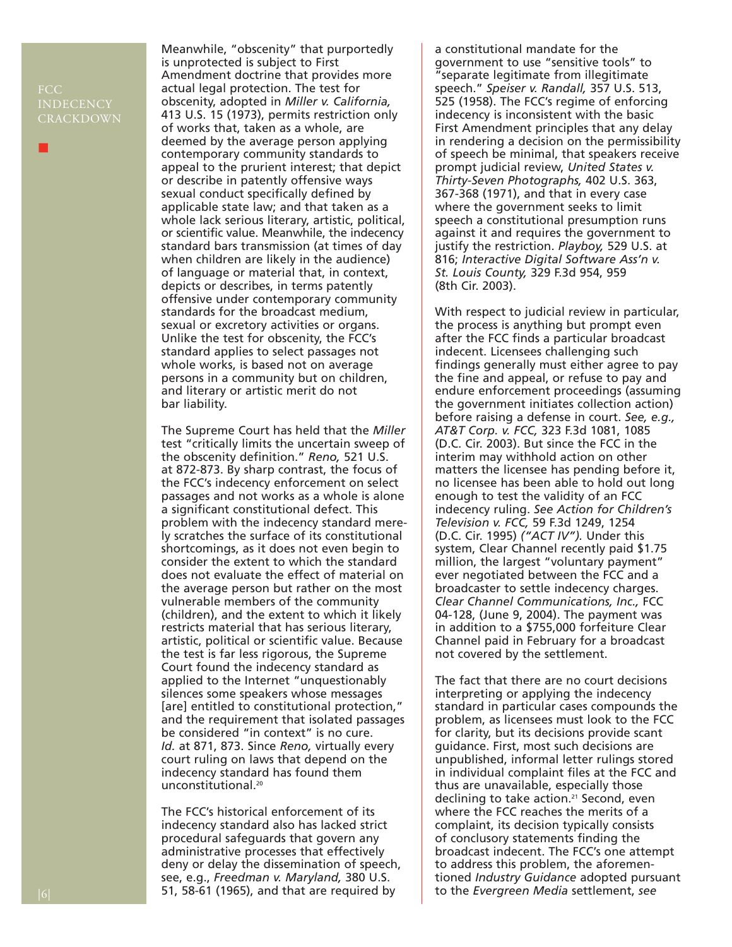### INDECENCY CRACKDOWN

■

Meanwhile, "obscenity" that purportedly is unprotected is subject to First Amendment doctrine that provides more actual legal protection. The test for obscenity, adopted in *Miller v. California,* 413 U.S. 15 (1973), permits restriction only of works that, taken as a whole, are deemed by the average person applying contemporary community standards to appeal to the prurient interest; that depict or describe in patently offensive ways sexual conduct specifically defined by applicable state law; and that taken as a whole lack serious literary, artistic, political, or scientific value. Meanwhile, the indecency standard bars transmission (at times of day when children are likely in the audience) of language or material that, in context, depicts or describes, in terms patently offensive under contemporary community standards for the broadcast medium, sexual or excretory activities or organs. Unlike the test for obscenity, the FCC's standard applies to select passages not whole works, is based not on average persons in a community but on children, and literary or artistic merit do not bar liability.

The Supreme Court has held that the *Miller* test "critically limits the uncertain sweep of the obscenity definition." *Reno,* 521 U.S. at 872-873. By sharp contrast, the focus of the FCC's indecency enforcement on select passages and not works as a whole is alone a significant constitutional defect. This problem with the indecency standard merely scratches the surface of its constitutional shortcomings, as it does not even begin to consider the extent to which the standard does not evaluate the effect of material on the average person but rather on the most vulnerable members of the community (children), and the extent to which it likely restricts material that has serious literary, artistic, political or scientific value. Because the test is far less rigorous, the Supreme Court found the indecency standard as applied to the Internet "unquestionably silences some speakers whose messages [are] entitled to constitutional protection," and the requirement that isolated passages be considered "in context" is no cure. *Id.* at 871, 873. Since *Reno,* virtually every court ruling on laws that depend on the indecency standard has found them unconstitutional.<sup>20</sup>

The FCC's historical enforcement of its indecency standard also has lacked strict procedural safeguards that govern any administrative processes that effectively deny or delay the dissemination of speech, see, e.g., *Freedman v. Maryland,* 380 U.S. 51, 58-61 (1965), and that are required by

a constitutional mandate for the government to use "sensitive tools" to "separate legitimate from illegitimate speech." *Speiser v. Randall,* 357 U.S. 513, 525 (1958). The FCC's regime of enforcing indecency is inconsistent with the basic First Amendment principles that any delay in rendering a decision on the permissibility of speech be minimal, that speakers receive prompt judicial review, *United States v. Thirty-Seven Photographs,* 402 U.S. 363, 367-368 (1971), and that in every case where the government seeks to limit speech a constitutional presumption runs against it and requires the government to justify the restriction. *Playboy,* 529 U.S. at 816; *Interactive Digital Software Ass'n v. St. Louis County,* 329 F.3d 954, 959 (8th Cir. 2003).

With respect to judicial review in particular, the process is anything but prompt even after the FCC finds a particular broadcast indecent. Licensees challenging such findings generally must either agree to pay the fine and appeal, or refuse to pay and endure enforcement proceedings (assuming the government initiates collection action) before raising a defense in court. *See, e.g., AT&T Corp. v. FCC,* 323 F.3d 1081, 1085 (D.C. Cir. 2003). But since the FCC in the interim may withhold action on other matters the licensee has pending before it, no licensee has been able to hold out long enough to test the validity of an FCC indecency ruling. *See Action for Children's Television v. FCC,* 59 F.3d 1249, 1254 (D.C. Cir. 1995) *("ACT IV").* Under this system, Clear Channel recently paid \$1.75 million, the largest "voluntary payment" ever negotiated between the FCC and a broadcaster to settle indecency charges. *Clear Channel Communications, Inc.,* FCC 04-128, (June 9, 2004). The payment was in addition to a \$755,000 forfeiture Clear Channel paid in February for a broadcast not covered by the settlement.

The fact that there are no court decisions interpreting or applying the indecency standard in particular cases compounds the problem, as licensees must look to the FCC for clarity, but its decisions provide scant guidance. First, most such decisions are unpublished, informal letter rulings stored in individual complaint files at the FCC and thus are unavailable, especially those declining to take action.<sup>21</sup> Second, even where the FCC reaches the merits of a complaint, its decision typically consists of conclusory statements finding the broadcast indecent. The FCC's one attempt to address this problem, the aforementioned *Industry Guidance* adopted pursuant to the *Evergreen Media* settlement, *see*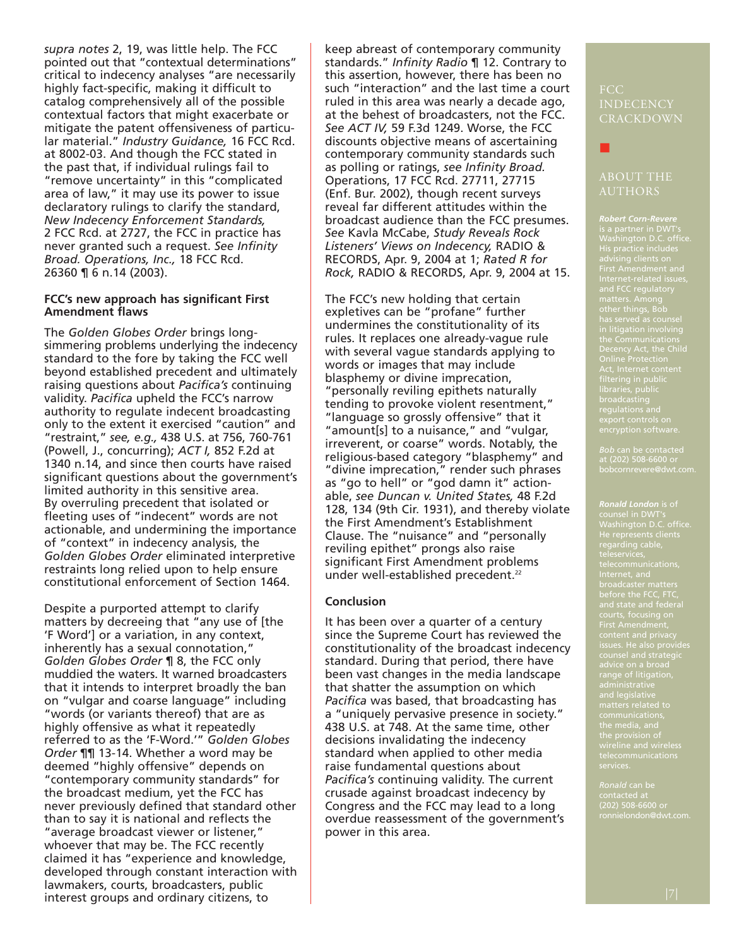*supra notes* 2, 19, was little help. The FCC pointed out that "contextual determinations" critical to indecency analyses "are necessarily highly fact-specific, making it difficult to catalog comprehensively all of the possible contextual factors that might exacerbate or mitigate the patent offensiveness of particular material." *Industry Guidance,* 16 FCC Rcd. at 8002-03. And though the FCC stated in the past that, if individual rulings fail to "remove uncertainty" in this "complicated area of law," it may use its power to issue declaratory rulings to clarify the standard, *New Indecency Enforcement Standards,* 2 FCC Rcd. at 2727, the FCC in practice has never granted such a request. *See Infinity Broad. Operations, Inc.,* 18 FCC Rcd. 26360 ¶ 6 n.14 (2003).

#### **FCC's new approach has significant First Amendment flaws**

The *Golden Globes Order* brings longsimmering problems underlying the indecency standard to the fore by taking the FCC well beyond established precedent and ultimately raising questions about *Pacifica's* continuing validity. *Pacifica* upheld the FCC's narrow authority to regulate indecent broadcasting only to the extent it exercised "caution" and "restraint," *see, e.g.,* 438 U.S. at 756, 760-761 (Powell, J., concurring); *ACT I,* 852 F.2d at 1340 n.14, and since then courts have raised significant questions about the government's limited authority in this sensitive area. By overruling precedent that isolated or fleeting uses of "indecent" words are not actionable, and undermining the importance of "context" in indecency analysis, the *Golden Globes Order* eliminated interpretive restraints long relied upon to help ensure constitutional enforcement of Section 1464.

Despite a purported attempt to clarify matters by decreeing that "any use of [the 'F Word'] or a variation, in any context, inherently has a sexual connotation," *Golden Globes Order* ¶ 8, the FCC only muddied the waters. It warned broadcasters that it intends to interpret broadly the ban on "vulgar and coarse language" including "words (or variants thereof) that are as highly offensive as what it repeatedly referred to as the 'F-Word.'" *Golden Globes Order* ¶¶ 13-14. Whether a word may be deemed "highly offensive" depends on "contemporary community standards" for the broadcast medium, yet the FCC has never previously defined that standard other than to say it is national and reflects the "average broadcast viewer or listener," whoever that may be. The FCC recently claimed it has "experience and knowledge, developed through constant interaction with lawmakers, courts, broadcasters, public interest groups and ordinary citizens, to

keep abreast of contemporary community standards." *Infinity Radio* ¶ 12. Contrary to this assertion, however, there has been no such "interaction" and the last time a court ruled in this area was nearly a decade ago, at the behest of broadcasters, not the FCC. *See ACT IV,* 59 F.3d 1249. Worse, the FCC discounts objective means of ascertaining contemporary community standards such as polling or ratings, *see Infinity Broad.* Operations, 17 FCC Rcd. 27711, 27715 (Enf. Bur. 2002), though recent surveys reveal far different attitudes within the broadcast audience than the FCC presumes. *See* Kavla McCabe, *Study Reveals Rock Listeners' Views on Indecency,* RADIO & RECORDS, Apr. 9, 2004 at 1; *Rated R for Rock,* RADIO & RECORDS, Apr. 9, 2004 at 15.

The FCC's new holding that certain expletives can be "profane" further undermines the constitutionality of its rules. It replaces one already-vague rule with several vague standards applying to words or images that may include blasphemy or divine imprecation, "personally reviling epithets naturally tending to provoke violent resentment," "language so grossly offensive" that it "amount[s] to a nuisance," and "vulgar, irreverent, or coarse" words. Notably, the religious-based category "blasphemy" and "divine imprecation," render such phrases as "go to hell" or "god damn it" actionable, *see Duncan v. United States,* 48 F.2d 128, 134 (9th Cir. 1931), and thereby violate the First Amendment's Establishment Clause. The "nuisance" and "personally reviling epithet" prongs also raise significant First Amendment problems under well-established precedent.<sup>22</sup>

#### **Conclusion**

It has been over a quarter of a century since the Supreme Court has reviewed the constitutionality of the broadcast indecency standard. During that period, there have been vast changes in the media landscape that shatter the assumption on which *Pacifica* was based, that broadcasting has a "uniquely pervasive presence in society." 438 U.S. at 748. At the same time, other decisions invalidating the indecency standard when applied to other media raise fundamental questions about *Pacifica's* continuing validity. The current crusade against broadcast indecency by Congress and the FCC may lead to a long overdue reassessment of the government's power in this area.

## INDECENCY **CRACKDOWN**

■

*Robert Corn-Revere* First Amendment and Internet-related issues, has served as counsel in litigation involving Decency Act, the Child Online Protection

at (202) 508-6600 or bobcornrevere@dwt.com.

*Ronald London* is of Internet, and broadcaster matters before the FCC, FTC,

(202) 508-6600 or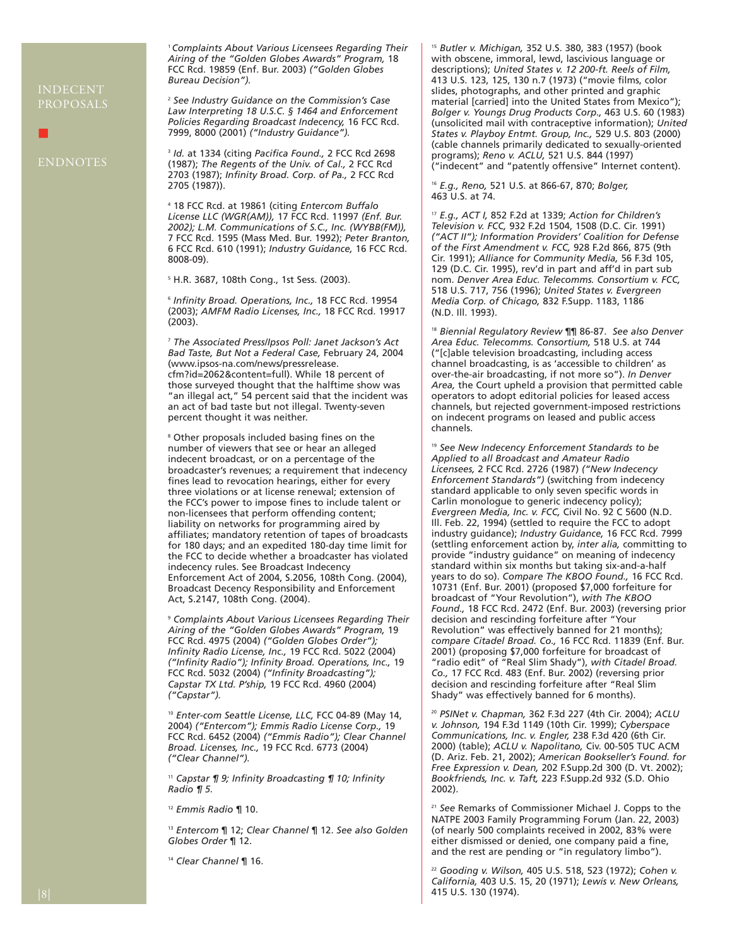## PROPOSALS

■

<sup>1</sup>*Complaints About Various Licensees Regarding Their Airing of the "Golden Globes Awards" Program,* 18 FCC Rcd. 19859 (Enf. Bur. 2003) *("Golden Globes Bureau Decision").*

<sup>2</sup> *See Industry Guidance on the Commission's Case Law Interpreting 18 U.S.C. § 1464 and Enforcement Policies Regarding Broadcast Indecency,* 16 FCC Rcd. 7999, 8000 (2001) *("Industry Guidance").*

<sup>3</sup> *Id.* at 1334 (citing *Pacifica Found.,* 2 FCC Rcd 2698 (1987); *The Regents of the Univ. of Cal.,* 2 FCC Rcd 2703 (1987); *Infinity Broad. Corp. of Pa.,* 2 FCC Rcd 2705 (1987)).

<sup>4</sup> 18 FCC Rcd. at 19861 (citing *Entercom Buffalo License LLC (WGR(AM)),* 17 FCC Rcd. 11997 *(Enf. Bur. 2002); L.M. Communications of S.C., Inc. (WYBB(FM)),* 7 FCC Rcd. 1595 (Mass Med. Bur. 1992); *Peter Branton,* 6 FCC Rcd. 610 (1991); *Industry Guidance,* 16 FCC Rcd. 8008-09).

<sup>5</sup> H.R. 3687, 108th Cong., 1st Sess. (2003).

<sup>6</sup> *Infinity Broad. Operations, Inc.,* 18 FCC Rcd. 19954 (2003); *AMFM Radio Licenses, Inc.,* 18 FCC Rcd. 19917 (2003).

<sup>7</sup> *The Associated Press/Ipsos Poll: Janet Jackson's Act Bad Taste, But Not a Federal Case,* February 24, 2004 (www.ipsos-na.com/news/pressrelease. cfm?id=2062&content=full). While 18 percent of those surveyed thought that the halftime show was "an illegal act," 54 percent said that the incident was an act of bad taste but not illegal. Twenty-seven percent thought it was neither.

<sup>8</sup> Other proposals included basing fines on the number of viewers that see or hear an alleged indecent broadcast, or on a percentage of the broadcaster's revenues; a requirement that indecency fines lead to revocation hearings, either for every three violations or at license renewal; extension of the FCC's power to impose fines to include talent or non-licensees that perform offending content; liability on networks for programming aired by affiliates; mandatory retention of tapes of broadcasts for 180 days; and an expedited 180-day time limit for the FCC to decide whether a broadcaster has violated indecency rules. See Broadcast Indecency Enforcement Act of 2004, S.2056, 108th Cong. (2004), Broadcast Decency Responsibility and Enforcement Act, S.2147, 108th Cong. (2004).

<sup>9</sup> *Complaints About Various Licensees Regarding Their Airing of the "Golden Globes Awards" Program,* 19 FCC Rcd. 4975 (2004) *("Golden Globes Order"); Infinity Radio License, Inc.,* 19 FCC Rcd. 5022 (2004) *("Infinity Radio"); Infinity Broad. Operations, Inc.,* 19 FCC Rcd. 5032 (2004) *("Infinity Broadcasting"); Capstar TX Ltd. P'ship,* 19 FCC Rcd. 4960 (2004) *("Capstar").*

<sup>10</sup> *Enter-com Seattle License, LLC,* FCC 04-89 (May 14, 2004) *("Entercom"); Emmis Radio License Corp.,* 19 FCC Rcd. 6452 (2004) *("Emmis Radio"); Clear Channel Broad. Licenses, Inc.,* 19 FCC Rcd. 6773 (2004) *("Clear Channel").*

<sup>11</sup> *Capstar ¶ 9; Infinity Broadcasting ¶ 10; Infinity Radio ¶ 5.*

<sup>12</sup> *Emmis Radio* ¶ 10.

<sup>13</sup> *Entercom* ¶ 12; *Clear Channel* ¶ 12. *See also Golden Globes Order* ¶ 12.

<sup>14</sup> *Clear Channel* ¶ 16.

<sup>15</sup> *Butler v. Michigan,* 352 U.S. 380, 383 (1957) (book with obscene, immoral, lewd, lascivious language or descriptions); *United States v. 12 200-ft. Reels of Film,* 413 U.S. 123, 125, 130 n.7 (1973) ("movie films, color slides, photographs, and other printed and graphic material [carried] into the United States from Mexico"); *Bolger v. Youngs Drug Products Corp.,* 463 U.S. 60 (1983) (unsolicited mail with contraceptive information); *United States v. Playboy Entmt. Group, Inc.,* 529 U.S. 803 (2000) (cable channels primarily dedicated to sexually-oriented programs); *Reno v. ACLU,* 521 U.S. 844 (1997) ("indecent" and "patently offensive" Internet content).

<sup>16</sup> *E.g., Reno,* 521 U.S. at 866-67, 870; *Bolger,*  463 U.S. at 74.

<sup>17</sup> *E.g., ACT I,* 852 F.2d at 1339; *Action for Children's Television v. FCC,* 932 F.2d 1504, 1508 (D.C. Cir. 1991) *("ACT II"); Information Providers' Coalition for Defense of the First Amendment v. FCC,* 928 F.2d 866, 875 (9th Cir. 1991); *Alliance for Community Media,* 56 F.3d 105, 129 (D.C. Cir. 1995), rev'd in part and aff'd in part sub nom. *Denver Area Educ. Telecomms. Consortium v. FCC,* 518 U.S. 717, 756 (1996); *United States v. Evergreen Media Corp. of Chicago,* 832 F.Supp. 1183, 1186 (N.D. Ill. 1993).

<sup>18</sup> *Biennial Regulatory Review* ¶¶ 86-87. *See also Denver Area Educ. Telecomms. Consortium,* 518 U.S. at 744 ("[c]able television broadcasting, including access channel broadcasting, is as 'accessible to children' as over-the-air broadcasting, if not more so"). *In Denver Area,* the Court upheld a provision that permitted cable operators to adopt editorial policies for leased access channels, but rejected government-imposed restrictions on indecent programs on leased and public access channels.

<sup>19</sup> *See New Indecency Enforcement Standards to be Applied to all Broadcast and Amateur Radio Licensees,* 2 FCC Rcd. 2726 (1987) *("New Indecency Enforcement Standards")* (switching from indecency standard applicable to only seven specific words in Carlin monologue to generic indecency policy); *Evergreen Media, Inc. v. FCC,* Civil No. 92 C 5600 (N.D. Ill. Feb. 22, 1994) (settled to require the FCC to adopt industry guidance); *Industry Guidance,* 16 FCC Rcd. 7999 (settling enforcement action by, *inter alia,* committing to provide "industry guidance" on meaning of indecency standard within six months but taking six-and-a-half years to do so). *Compare The KBOO Found.,* 16 FCC Rcd. 10731 (Enf. Bur. 2001) (proposed \$7,000 forfeiture for broadcast of "Your Revolution"), *with The KBOO Found.,* 18 FCC Rcd. 2472 (Enf. Bur. 2003) (reversing prior decision and rescinding forfeiture after "Your Revolution" was effectively banned for 21 months); *compare Citadel Broad. Co.,* 16 FCC Rcd. 11839 (Enf. Bur. 2001) (proposing \$7,000 forfeiture for broadcast of "radio edit" of "Real Slim Shady"), *with Citadel Broad. Co.,* 17 FCC Rcd. 483 (Enf. Bur. 2002) (reversing prior decision and rescinding forfeiture after "Real Slim Shady" was effectively banned for 6 months).

<sup>20</sup> *PSINet v. Chapman,* 362 F.3d 227 (4th Cir. 2004); *ACLU v. Johnson,* 194 F.3d 1149 (10th Cir. 1999); *Cyberspace Communications, Inc. v. Engler,* 238 F.3d 420 (6th Cir. 2000) (table); *ACLU v. Napolitano,* Civ. 00-505 TUC ACM (D. Ariz. Feb. 21, 2002); *American Bookseller's Found. for Free Expression v. Dean,* 202 F.Supp.2d 300 (D. Vt. 2002); *Bookfriends, Inc. v. Taft,* 223 F.Supp.2d 932 (S.D. Ohio 2002).

<sup>21</sup> *See* Remarks of Commissioner Michael J. Copps to the NATPE 2003 Family Programming Forum (Jan. 22, 2003) (of nearly 500 complaints received in 2002, 83% were either dismissed or denied, one company paid a fine, and the rest are pending or "in regulatory limbo").

<sup>22</sup> *Gooding v. Wilson,* 405 U.S. 518, 523 (1972); *Cohen v. California,* 403 U.S. 15, 20 (1971); *Lewis v. New Orleans,* 415 U.S. 130 (1974).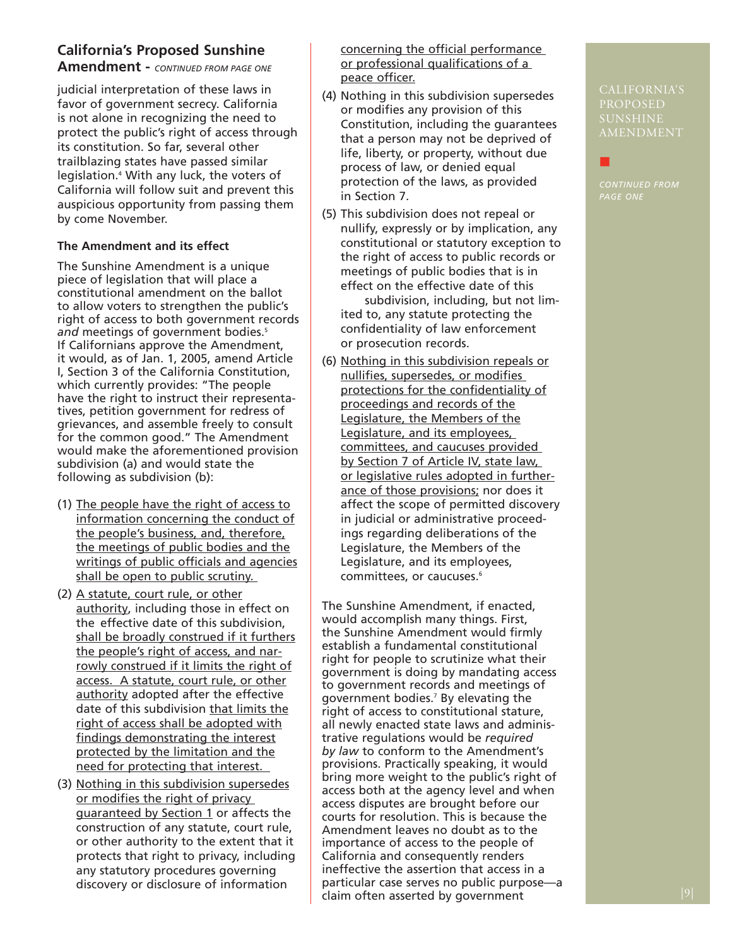### **California's Proposed Sunshine**

**Amendment -** *CONTINUED FROM PAGE ONE*

judicial interpretation of these laws in favor of government secrecy. California is not alone in recognizing the need to protect the public's right of access through its constitution. So far, several other trailblazing states have passed similar legislation.4 With any luck, the voters of California will follow suit and prevent this auspicious opportunity from passing them by come November.

### **The Amendment and its effect**

The Sunshine Amendment is a unique piece of legislation that will place a constitutional amendment on the ballot to allow voters to strengthen the public's right of access to both government records and meetings of government bodies.<sup>5</sup> If Californians approve the Amendment, it would, as of Jan. 1, 2005, amend Article I, Section 3 of the California Constitution, which currently provides: "The people have the right to instruct their representatives, petition government for redress of grievances, and assemble freely to consult for the common good." The Amendment would make the aforementioned provision subdivision (a) and would state the following as subdivision (b):

- (1) The people have the right of access to information concerning the conduct of the people's business, and, therefore, the meetings of public bodies and the writings of public officials and agencies shall be open to public scrutiny.
- (2) A statute, court rule, or other authority, including those in effect on the effective date of this subdivision, shall be broadly construed if it furthers the people's right of access, and narrowly construed if it limits the right of access. A statute, court rule, or other authority adopted after the effective date of this subdivision that limits the right of access shall be adopted with findings demonstrating the interest protected by the limitation and the need for protecting that interest.
- (3) Nothing in this subdivision supersedes or modifies the right of privacy guaranteed by Section 1 or affects the construction of any statute, court rule, or other authority to the extent that it protects that right to privacy, including any statutory procedures governing discovery or disclosure of information

concerning the official performance or professional qualifications of a peace officer.

- (4) Nothing in this subdivision supersedes or modifies any provision of this Constitution, including the guarantees that a person may not be deprived of life, liberty, or property, without due process of law, or denied equal protection of the laws, as provided in Section 7.
- (5) This subdivision does not repeal or nullify, expressly or by implication, any constitutional or statutory exception to the right of access to public records or meetings of public bodies that is in effect on the effective date of this

subdivision, including, but not limited to, any statute protecting the confidentiality of law enforcement or prosecution records.

(6) Nothing in this subdivision repeals or nullifies, supersedes, or modifies protections for the confidentiality of proceedings and records of the Legislature, the Members of the Legislature, and its employees, committees, and caucuses provided by Section 7 of Article IV, state law, or legislative rules adopted in furtherance of those provisions; nor does it affect the scope of permitted discovery in judicial or administrative proceedings regarding deliberations of the Legislature, the Members of the Legislature, and its employees, committees, or caucuses.<sup>6</sup>

The Sunshine Amendment, if enacted, would accomplish many things. First, the Sunshine Amendment would firmly establish a fundamental constitutional right for people to scrutinize what their government is doing by mandating access to government records and meetings of government bodies.7 By elevating the right of access to constitutional stature, all newly enacted state laws and administrative regulations would be *required by law* to conform to the Amendment's provisions. Practically speaking, it would bring more weight to the public's right of access both at the agency level and when access disputes are brought before our courts for resolution. This is because the Amendment leaves no doubt as to the importance of access to the people of California and consequently renders ineffective the assertion that access in a particular case serves no public purpose—a claim often asserted by government

PROPOSED SUNSHINE AMENDMENT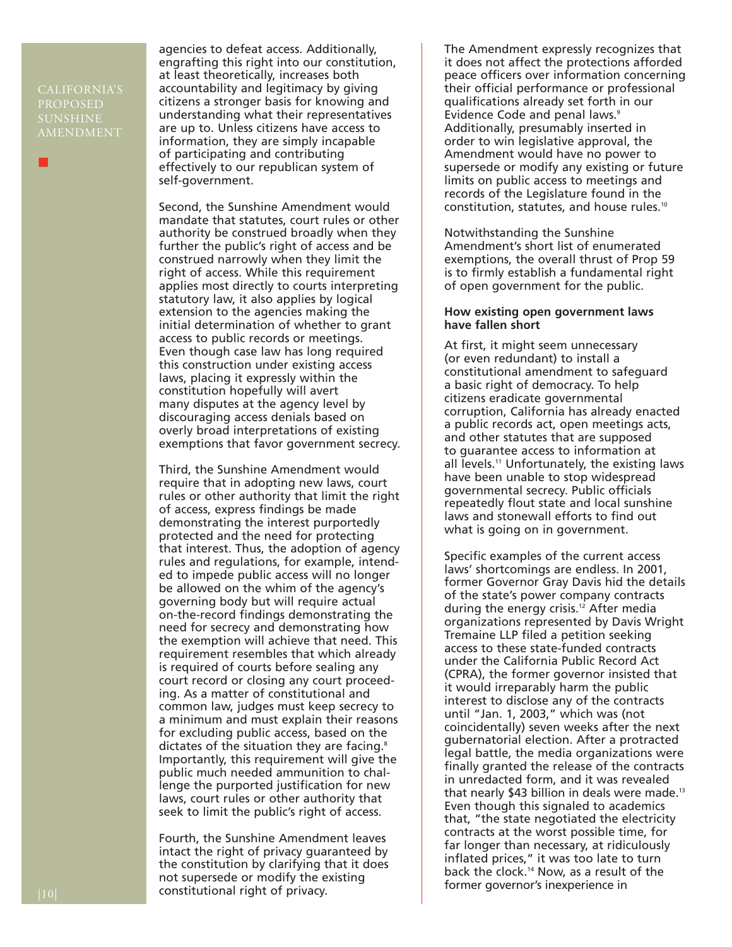CALIFORNIA'S PROPOSED SUNSHINE AMENDMENT

■

agencies to defeat access. Additionally, engrafting this right into our constitution, at least theoretically, increases both accountability and legitimacy by giving citizens a stronger basis for knowing and understanding what their representatives are up to. Unless citizens have access to information, they are simply incapable of participating and contributing effectively to our republican system of self-government.

Second, the Sunshine Amendment would mandate that statutes, court rules or other authority be construed broadly when they further the public's right of access and be construed narrowly when they limit the right of access. While this requirement applies most directly to courts interpreting statutory law, it also applies by logical extension to the agencies making the initial determination of whether to grant access to public records or meetings. Even though case law has long required this construction under existing access laws, placing it expressly within the constitution hopefully will avert many disputes at the agency level by discouraging access denials based on overly broad interpretations of existing exemptions that favor government secrecy.

Third, the Sunshine Amendment would require that in adopting new laws, court rules or other authority that limit the right of access, express findings be made demonstrating the interest purportedly protected and the need for protecting that interest. Thus, the adoption of agency rules and regulations, for example, intended to impede public access will no longer be allowed on the whim of the agency's governing body but will require actual on-the-record findings demonstrating the need for secrecy and demonstrating how the exemption will achieve that need. This requirement resembles that which already is required of courts before sealing any court record or closing any court proceeding. As a matter of constitutional and common law, judges must keep secrecy to a minimum and must explain their reasons for excluding public access, based on the dictates of the situation they are facing.<sup>8</sup> Importantly, this requirement will give the public much needed ammunition to challenge the purported justification for new laws, court rules or other authority that seek to limit the public's right of access.

Fourth, the Sunshine Amendment leaves intact the right of privacy guaranteed by the constitution by clarifying that it does not supersede or modify the existing constitutional right of privacy.

The Amendment expressly recognizes that it does not affect the protections afforded peace officers over information concerning their official performance or professional qualifications already set forth in our Evidence Code and penal laws.<sup>9</sup> Additionally, presumably inserted in order to win legislative approval, the Amendment would have no power to supersede or modify any existing or future limits on public access to meetings and records of the Legislature found in the constitution, statutes, and house rules.10

Notwithstanding the Sunshine Amendment's short list of enumerated exemptions, the overall thrust of Prop 59 is to firmly establish a fundamental right of open government for the public.

#### **How existing open government laws have fallen short**

At first, it might seem unnecessary (or even redundant) to install a constitutional amendment to safeguard a basic right of democracy. To help citizens eradicate governmental corruption, California has already enacted a public records act, open meetings acts, and other statutes that are supposed to guarantee access to information at all levels.11 Unfortunately, the existing laws have been unable to stop widespread governmental secrecy. Public officials repeatedly flout state and local sunshine laws and stonewall efforts to find out what is going on in government.

Specific examples of the current access laws' shortcomings are endless. In 2001, former Governor Gray Davis hid the details of the state's power company contracts during the energy crisis.12 After media organizations represented by Davis Wright Tremaine LLP filed a petition seeking access to these state-funded contracts under the California Public Record Act (CPRA), the former governor insisted that it would irreparably harm the public interest to disclose any of the contracts until "Jan. 1, 2003," which was (not coincidentally) seven weeks after the next gubernatorial election. After a protracted legal battle, the media organizations were finally granted the release of the contracts in unredacted form, and it was revealed that nearly \$43 billion in deals were made.13 Even though this signaled to academics that, "the state negotiated the electricity contracts at the worst possible time, for far longer than necessary, at ridiculously inflated prices," it was too late to turn back the clock.14 Now, as a result of the former governor's inexperience in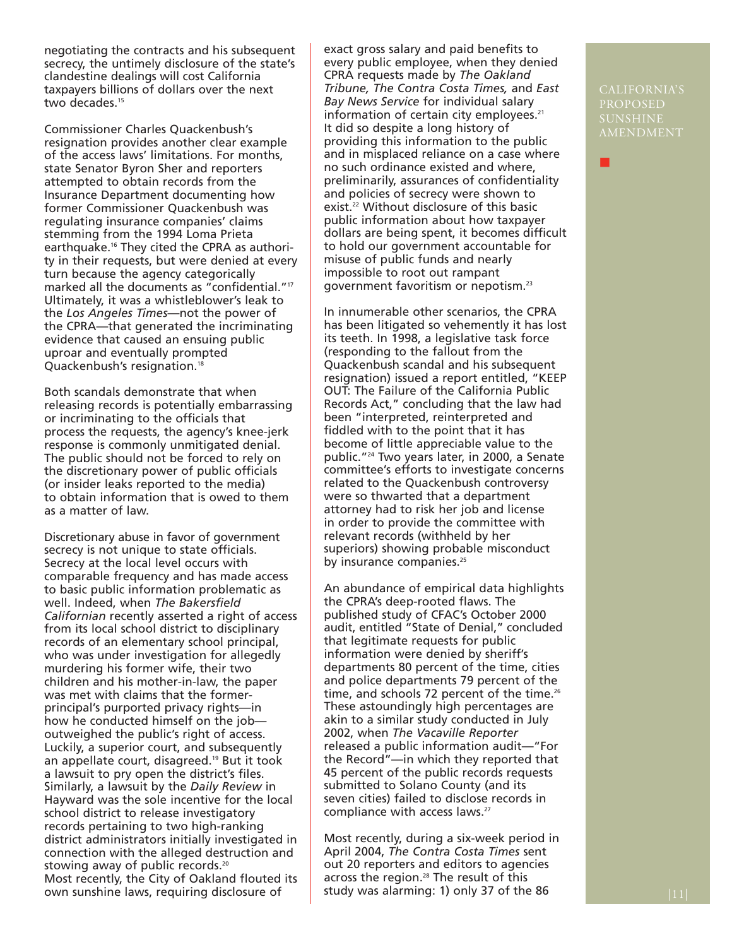negotiating the contracts and his subsequent secrecy, the untimely disclosure of the state's clandestine dealings will cost California taxpayers billions of dollars over the next two decades.<sup>15</sup>

Commissioner Charles Quackenbush's resignation provides another clear example of the access laws' limitations. For months, state Senator Byron Sher and reporters attempted to obtain records from the Insurance Department documenting how former Commissioner Quackenbush was regulating insurance companies' claims stemming from the 1994 Loma Prieta earthquake.16 They cited the CPRA as authority in their requests, but were denied at every turn because the agency categorically marked all the documents as "confidential."17 Ultimately, it was a whistleblower's leak to the *Los Angeles Times*—not the power of the CPRA—that generated the incriminating evidence that caused an ensuing public uproar and eventually prompted Quackenbush's resignation.18

Both scandals demonstrate that when releasing records is potentially embarrassing or incriminating to the officials that process the requests, the agency's knee-jerk response is commonly unmitigated denial. The public should not be forced to rely on the discretionary power of public officials (or insider leaks reported to the media) to obtain information that is owed to them as a matter of law.

Discretionary abuse in favor of government secrecy is not unique to state officials. Secrecy at the local level occurs with comparable frequency and has made access to basic public information problematic as well. Indeed, when *The Bakersfield Californian* recently asserted a right of access from its local school district to disciplinary records of an elementary school principal, who was under investigation for allegedly murdering his former wife, their two children and his mother-in-law, the paper was met with claims that the formerprincipal's purported privacy rights—in how he conducted himself on the job outweighed the public's right of access. Luckily, a superior court, and subsequently an appellate court, disagreed.19 But it took a lawsuit to pry open the district's files. Similarly, a lawsuit by the *Daily Review* in Hayward was the sole incentive for the local school district to release investigatory records pertaining to two high-ranking district administrators initially investigated in connection with the alleged destruction and stowing away of public records.<sup>20</sup> Most recently, the City of Oakland flouted its own sunshine laws, requiring disclosure of

exact gross salary and paid benefits to every public employee, when they denied CPRA requests made by *The Oakland Tribune, The Contra Costa Times,* and *East Bay News Service* for individual salary information of certain city employees.<sup>21</sup> It did so despite a long history of providing this information to the public and in misplaced reliance on a case where no such ordinance existed and where, preliminarily, assurances of confidentiality and policies of secrecy were shown to exist.<sup>22</sup> Without disclosure of this basic public information about how taxpayer dollars are being spent, it becomes difficult to hold our government accountable for misuse of public funds and nearly impossible to root out rampant government favoritism or nepotism.23

In innumerable other scenarios, the CPRA has been litigated so vehemently it has lost its teeth. In 1998, a legislative task force (responding to the fallout from the Quackenbush scandal and his subsequent resignation) issued a report entitled, "KEEP OUT: The Failure of the California Public Records Act," concluding that the law had been "interpreted, reinterpreted and fiddled with to the point that it has become of little appreciable value to the public."24 Two years later, in 2000, a Senate committee's efforts to investigate concerns related to the Quackenbush controversy were so thwarted that a department attorney had to risk her job and license in order to provide the committee with relevant records (withheld by her superiors) showing probable misconduct by insurance companies.<sup>25</sup>

An abundance of empirical data highlights the CPRA's deep-rooted flaws. The published study of CFAC's October 2000 audit, entitled "State of Denial," concluded that legitimate requests for public information were denied by sheriff's departments 80 percent of the time, cities and police departments 79 percent of the time, and schools 72 percent of the time.<sup>26</sup> These astoundingly high percentages are akin to a similar study conducted in July 2002, when *The Vacaville Reporter* released a public information audit—"For the Record"—in which they reported that 45 percent of the public records requests submitted to Solano County (and its seven cities) failed to disclose records in compliance with access laws.27

Most recently, during a six-week period in April 2004, *The Contra Costa Times* sent out 20 reporters and editors to agencies across the region.<sup>28</sup> The result of this study was alarming: 1) only 37 of the 86  $|11|$ 

PROPOSED SUNSHINE AMENDMENT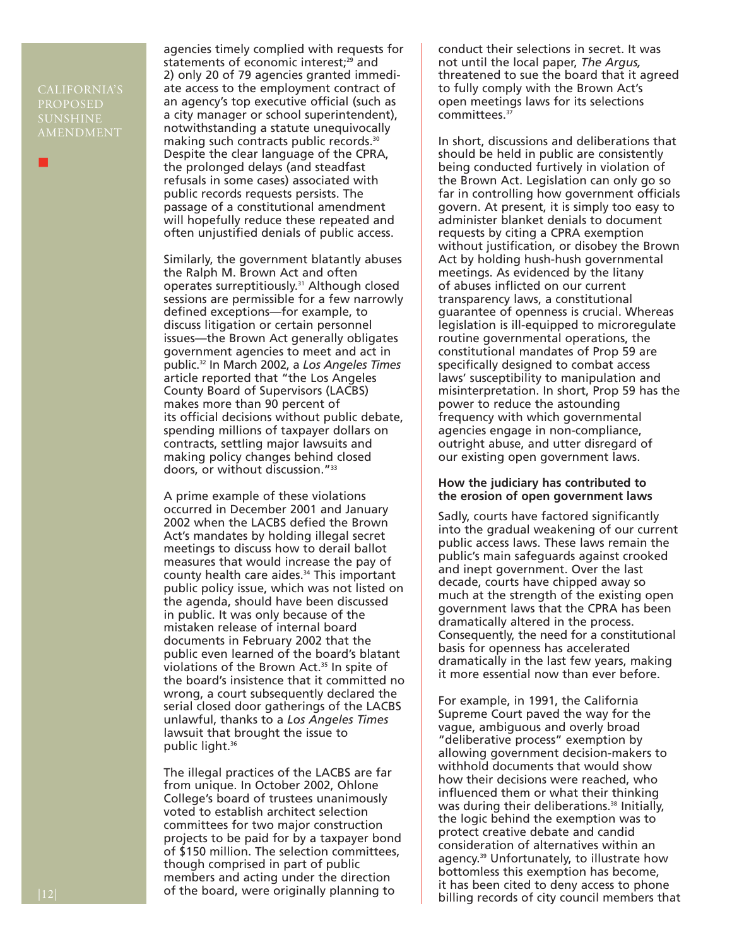CALIFORNIA'S PROPOSED SUNSHINE AMENDMENT

■

agencies timely complied with requests for statements of economic interest;<sup>29</sup> and 2) only 20 of 79 agencies granted immediate access to the employment contract of an agency's top executive official (such as a city manager or school superintendent), notwithstanding a statute unequivocally making such contracts public records.30 Despite the clear language of the CPRA, the prolonged delays (and steadfast refusals in some cases) associated with public records requests persists. The passage of a constitutional amendment will hopefully reduce these repeated and often unjustified denials of public access.

Similarly, the government blatantly abuses the Ralph M. Brown Act and often operates surreptitiously.31 Although closed sessions are permissible for a few narrowly defined exceptions—for example, to discuss litigation or certain personnel issues—the Brown Act generally obligates government agencies to meet and act in public.32 In March 2002, a *Los Angeles Times* article reported that "the Los Angeles County Board of Supervisors (LACBS) makes more than 90 percent of its official decisions without public debate, spending millions of taxpayer dollars on contracts, settling major lawsuits and making policy changes behind closed doors, or without discussion."33

A prime example of these violations occurred in December 2001 and January 2002 when the LACBS defied the Brown Act's mandates by holding illegal secret meetings to discuss how to derail ballot measures that would increase the pay of county health care aides.<sup>34</sup> This important public policy issue, which was not listed on the agenda, should have been discussed in public. It was only because of the mistaken release of internal board documents in February 2002 that the public even learned of the board's blatant violations of the Brown Act.<sup>35</sup> In spite of the board's insistence that it committed no wrong, a court subsequently declared the serial closed door gatherings of the LACBS unlawful, thanks to a *Los Angeles Times* lawsuit that brought the issue to public light.36

The illegal practices of the LACBS are far from unique. In October 2002, Ohlone College's board of trustees unanimously voted to establish architect selection committees for two major construction projects to be paid for by a taxpayer bond of \$150 million. The selection committees, though comprised in part of public members and acting under the direction of the board, were originally planning to

conduct their selections in secret. It was not until the local paper, *The Argus,* threatened to sue the board that it agreed to fully comply with the Brown Act's open meetings laws for its selections committees.37

In short, discussions and deliberations that should be held in public are consistently being conducted furtively in violation of the Brown Act. Legislation can only go so far in controlling how government officials govern. At present, it is simply too easy to administer blanket denials to document requests by citing a CPRA exemption without justification, or disobey the Brown Act by holding hush-hush governmental meetings. As evidenced by the litany of abuses inflicted on our current transparency laws, a constitutional guarantee of openness is crucial. Whereas legislation is ill-equipped to microregulate routine governmental operations, the constitutional mandates of Prop 59 are specifically designed to combat access laws' susceptibility to manipulation and misinterpretation. In short, Prop 59 has the power to reduce the astounding frequency with which governmental agencies engage in non-compliance, outright abuse, and utter disregard of our existing open government laws.

#### **How the judiciary has contributed to the erosion of open government laws**

Sadly, courts have factored significantly into the gradual weakening of our current public access laws. These laws remain the public's main safeguards against crooked and inept government. Over the last decade, courts have chipped away so much at the strength of the existing open government laws that the CPRA has been dramatically altered in the process. Consequently, the need for a constitutional basis for openness has accelerated dramatically in the last few years, making it more essential now than ever before.

For example, in 1991, the California Supreme Court paved the way for the vague, ambiguous and overly broad "deliberative process" exemption by allowing government decision-makers to withhold documents that would show how their decisions were reached, who influenced them or what their thinking was during their deliberations.<sup>38</sup> Initially, the logic behind the exemption was to protect creative debate and candid consideration of alternatives within an agency.39 Unfortunately, to illustrate how bottomless this exemption has become, it has been cited to deny access to phone billing records of city council members that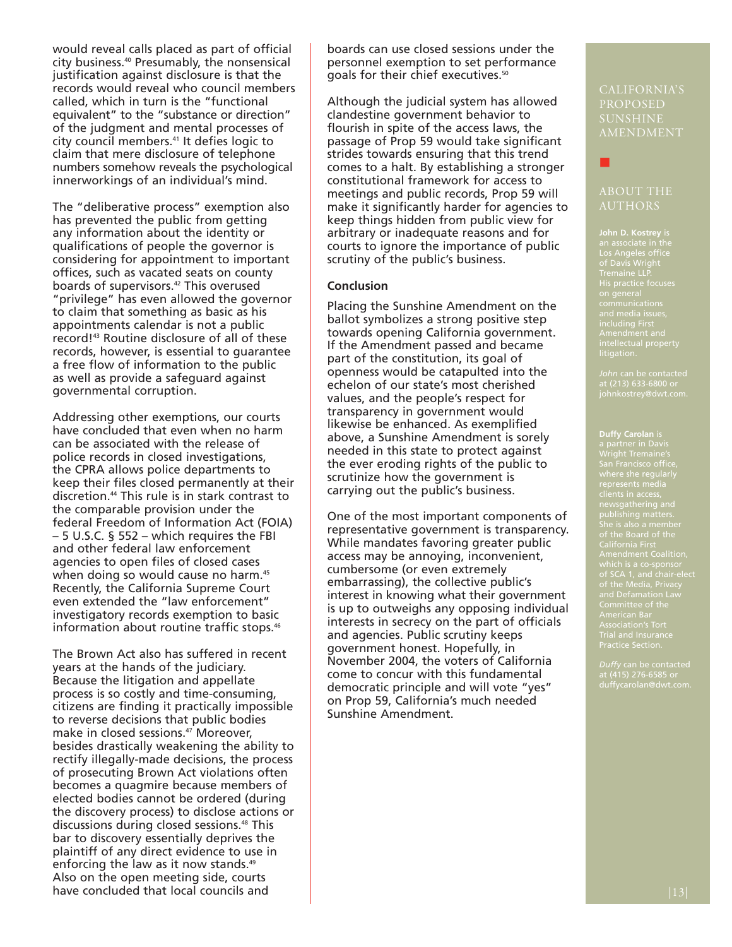would reveal calls placed as part of official city business.40 Presumably, the nonsensical justification against disclosure is that the records would reveal who council members called, which in turn is the "functional equivalent" to the "substance or direction" of the judgment and mental processes of city council members.41 It defies logic to claim that mere disclosure of telephone numbers somehow reveals the psychological innerworkings of an individual's mind.

The "deliberative process" exemption also has prevented the public from getting any information about the identity or qualifications of people the governor is considering for appointment to important offices, such as vacated seats on county boards of supervisors.<sup>42</sup> This overused "privilege" has even allowed the governor to claim that something as basic as his appointments calendar is not a public record!43 Routine disclosure of all of these records, however, is essential to guarantee a free flow of information to the public as well as provide a safeguard against governmental corruption.

Addressing other exemptions, our courts have concluded that even when no harm can be associated with the release of police records in closed investigations, the CPRA allows police departments to keep their files closed permanently at their discretion.44 This rule is in stark contrast to the comparable provision under the federal Freedom of Information Act (FOIA) – 5 U.S.C. § 552 – which requires the FBI and other federal law enforcement agencies to open files of closed cases when doing so would cause no harm.<sup>45</sup> Recently, the California Supreme Court even extended the "law enforcement" investigatory records exemption to basic information about routine traffic stops.46

The Brown Act also has suffered in recent years at the hands of the judiciary. Because the litigation and appellate process is so costly and time-consuming, citizens are finding it practically impossible to reverse decisions that public bodies make in closed sessions.<sup>47</sup> Moreover, besides drastically weakening the ability to rectify illegally-made decisions, the process of prosecuting Brown Act violations often becomes a quagmire because members of elected bodies cannot be ordered (during the discovery process) to disclose actions or discussions during closed sessions.48 This bar to discovery essentially deprives the plaintiff of any direct evidence to use in enforcing the law as it now stands.<sup>49</sup> Also on the open meeting side, courts have concluded that local councils and

boards can use closed sessions under the personnel exemption to set performance goals for their chief executives.<sup>50</sup>

Although the judicial system has allowed clandestine government behavior to flourish in spite of the access laws, the passage of Prop 59 would take significant strides towards ensuring that this trend comes to a halt. By establishing a stronger constitutional framework for access to meetings and public records, Prop 59 will make it significantly harder for agencies to keep things hidden from public view for arbitrary or inadequate reasons and for courts to ignore the importance of public scrutiny of the public's business.

#### **Conclusion**

Placing the Sunshine Amendment on the ballot symbolizes a strong positive step towards opening California government. If the Amendment passed and became part of the constitution, its goal of openness would be catapulted into the echelon of our state's most cherished values, and the people's respect for transparency in government would likewise be enhanced. As exemplified above, a Sunshine Amendment is sorely needed in this state to protect against the ever eroding rights of the public to scrutinize how the government is carrying out the public's business.

One of the most important components of representative government is transparency. While mandates favoring greater public access may be annoying, inconvenient, cumbersome (or even extremely embarrassing), the collective public's interest in knowing what their government is up to outweighs any opposing individual interests in secrecy on the part of officials and agencies. Public scrutiny keeps government honest. Hopefully, in November 2004, the voters of California come to concur with this fundamental democratic principle and will vote "yes" on Prop 59, California's much needed Sunshine Amendment.

PROPOSED SUNSHINE AMENDMENT

#### ABOUT THE AUTHORS

■

**John D. Kostrey** is Tremaine LLP. His practice focuses

at (213) 633-6800 or johnkostrey@dwt.com.

**Duffy Carolan** is publishing matters. She is also a member California First of SCA 1, and chair-elect of the Media, Privacy and Defamation Law Trial and Insurance Practice Section.

at (415) 276-6585 or duffycarolan@dwt.com.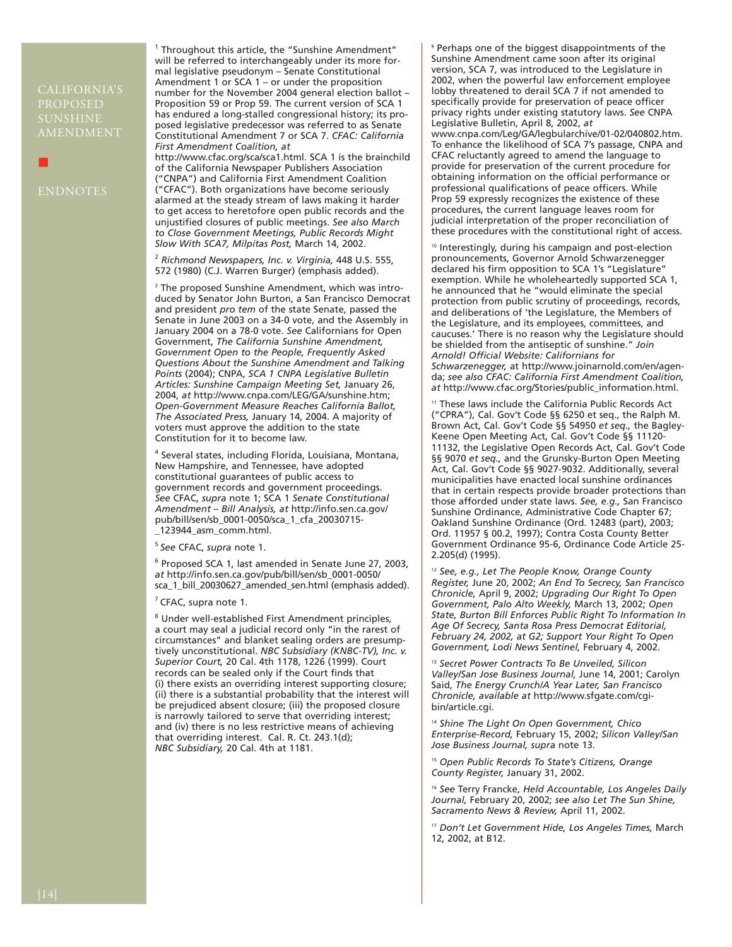#### CALIFORNIA'S PROPOSED SUNSHINE AMENDMENT

■

<sup>1</sup> Throughout this article, the "Sunshine Amendment" will be referred to interchangeably under its more formal legislative pseudonym – Senate Constitutional Amendment 1 or SCA 1 – or under the proposition number for the November 2004 general election ballot – Proposition 59 or Prop 59. The current version of SCA 1 has endured a long-stalled congressional history; its proposed legislative predecessor was referred to as Senate Constitutional Amendment 7 or SCA 7. *CFAC: California First Amendment Coalition, at*

http://www.cfac.org/sca/sca1.html. SCA 1 is the brainchild of the California Newspaper Publishers Association ("CNPA") and California First Amendment Coalition ("CFAC"). Both organizations have become seriously alarmed at the steady stream of laws making it harder to get access to heretofore open public records and the unjustified closures of public meetings. *See also March to Close Government Meetings, Public Records Might Slow With SCA7, Milpitas Post,* March 14, 2002.

<sup>2</sup> *Richmond Newspapers, Inc. v. Virginia,* 448 U.S. 555, 572 (1980) (C.J. Warren Burger) (emphasis added).

<sup>3</sup> The proposed Sunshine Amendment, which was introduced by Senator John Burton, a San Francisco Democrat and president *pro tem* of the state Senate, passed the Senate in June 2003 on a 34-0 vote, and the Assembly in January 2004 on a 78-0 vote. *See* Californians for Open Government, *The California Sunshine Amendment, Government Open to the People, Frequently Asked Questions About the Sunshine Amendment and Talking Points* (2004); CNPA, *SCA 1 CNPA Legislative Bulletin Articles: Sunshine Campaign Meeting Set,* January 26, 2004, *at* http://www.cnpa.com/LEG/GA/sunshine.htm; *Open-Government Measure Reaches California Ballot, The Associated Press,* January 14, 2004. A majority of voters must approve the addition to the state Constitution for it to become law.

<sup>4</sup> Several states, including Florida, Louisiana, Montana, New Hampshire, and Tennessee, have adopted constitutional guarantees of public access to government records and government proceedings. *See* CFAC, *supra* note 1; SCA 1 *Senate Constitutional Amendment* – *Bill Analysis, at* http://info.sen.ca.gov/ pub/bill/sen/sb\_0001-0050/sca\_1\_cfa\_20030715- \_123944\_asm\_comm.html.

<sup>5</sup>*See* CFAC, *supra* note 1.

<sup>6</sup> Proposed SCA 1, last amended in Senate June 27, 2003, *at* http://info.sen.ca.gov/pub/bill/sen/sb\_0001-0050/ sca\_1\_bill\_20030627\_amended\_sen.html (emphasis added).

 $<sup>7</sup>$  CFAC, supra note 1.</sup>

<sup>8</sup> Under well-established First Amendment principles, a court may seal a judicial record only "in the rarest of circumstances" and blanket sealing orders are presumptively unconstitutional. *NBC Subsidiary (KNBC-TV), Inc. v. Superior Court,* 20 Cal. 4th 1178, 1226 (1999). Court records can be sealed only if the Court finds that (i) there exists an overriding interest supporting closure; (ii) there is a substantial probability that the interest will be prejudiced absent closure; (iii) the proposed closure is narrowly tailored to serve that overriding interest; and (iv) there is no less restrictive means of achieving that overriding interest. Cal. R. Ct. 243.1(d); *NBC Subsidiary,* 20 Cal. 4th at 1181.

<sup>9</sup> Perhaps one of the biggest disappointments of the Sunshine Amendment came soon after its original version, SCA 7, was introduced to the Legislature in 2002, when the powerful law enforcement employee lobby threatened to derail SCA 7 if not amended to specifically provide for preservation of peace officer privacy rights under existing statutory laws. *See* CNPA Legislative Bulletin, April 8, 2002, *at* www.cnpa.com/Leg/GA/legbularchive/01-02/040802.htm. To enhance the likelihood of SCA 7's passage, CNPA and CFAC reluctantly agreed to amend the language to provide for preservation of the current procedure for obtaining information on the official performance or professional qualifications of peace officers. While Prop 59 expressly recognizes the existence of these procedures, the current language leaves room for judicial interpretation of the proper reconciliation of these procedures with the constitutional right of access.

<sup>10</sup> Interestingly, during his campaign and post-election pronouncements, Governor Arnold Schwarzenegger declared his firm opposition to SCA 1's "Legislature" exemption. While he wholeheartedly supported SCA 1, he announced that he "would eliminate the special protection from public scrutiny of proceedings, records, and deliberations of 'the Legislature, the Members of the Legislature, and its employees, committees, and caucuses.' There is no reason why the Legislature should be shielded from the antiseptic of sunshine." *Join Arnold! Official Website: Californians for Schwarzenegger,* at http://www.joinarnold.com/en/agenda; *see also CFAC: California First Amendment Coalition, at* http://www.cfac.org/Stories/public\_information.html.

These laws include the California Public Records Act ("CPRA"), Cal. Gov't Code §§ 6250 et seq., the Ralph M. Brown Act, Cal. Gov't Code §§ 54950 *et seq.,* the Bagley-Keene Open Meeting Act, Cal. Gov't Code §§ 11120- 11132, the Legislative Open Records Act, Cal. Gov't Code §§ 9070 *et seq.,* and the Grunsky-Burton Open Meeting Act, Cal. Gov't Code §§ 9027-9032. Additionally, several municipalities have enacted local sunshine ordinances that in certain respects provide broader protections than those afforded under state laws. *See, e.g.,* San Francisco Sunshine Ordinance, Administrative Code Chapter 67; Oakland Sunshine Ordinance (Ord. 12483 (part), 2003; Ord. 11957 § 00.2, 1997); Contra Costa County Better Government Ordinance 95-6, Ordinance Code Article 25- 2.205(d) (1995).

<sup>12</sup> *See, e.g., Let The People Know, Orange County Register,* June 20, 2002; *An End To Secrecy, San Francisco Chronicle,* April 9, 2002; *Upgrading Our Right To Open Government, Palo Alto Weekly,* March 13, 2002; *Open State, Burton Bill Enforces Public Right To Information In Age Of Secrecy, Santa Rosa Press Democrat Editorial, February 24, 2002, at G2; Support Your Right To Open Government, Lodi News Sentinel,* February 4, 2002.

<sup>13</sup> *Secret Power Contracts To Be Unveiled, Silicon Valley/San Jose Business Journal,* June 14, 2001; Carolyn Said, *The Energy Crunch/A Year Later, San Francisco Chronicle, available at* http://www.sfgate.com/cgibin/article.cgi.

<sup>14</sup> *Shine The Light On Open Government, Chico Enterprise-Record,* February 15, 2002; *Silicon Valley/San Jose Business Journal, supra* note 13.

<sup>15</sup> *Open Public Records To State's Citizens, Orange County Register,* January 31, 2002.

<sup>16</sup> *See* Terry Francke, *Held Accountable, Los Angeles Daily Journal,* February 20, 2002; *see also Let The Sun Shine, Sacramento News & Review,* April 11, 2002.

<sup>17</sup> *Don't Let Government Hide, Los Angeles Times,* March 12, 2002, at B12.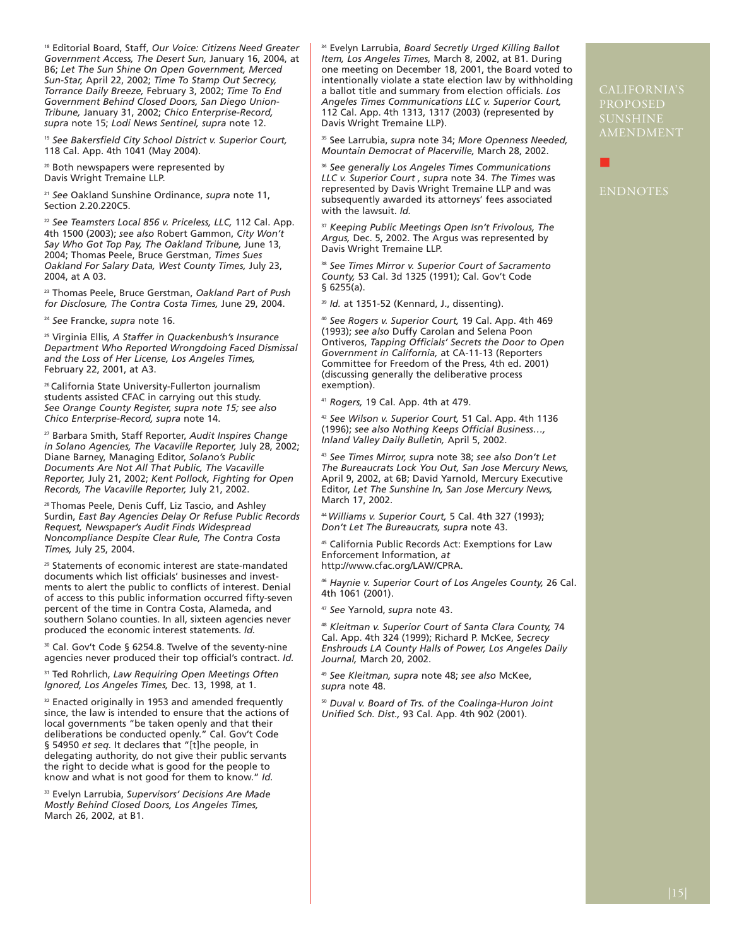<sup>18</sup> Editorial Board, Staff, *Our Voice: Citizens Need Greater Government Access, The Desert Sun,* January 16, 2004, at B6; *Let The Sun Shine On Open Government, Merced Sun-Star,* April 22, 2002; *Time To Stamp Out Secrecy, Torrance Daily Breeze,* February 3, 2002; *Time To End Government Behind Closed Doors, San Diego Union-Tribune,* January 31, 2002; *Chico Enterprise-Record, supra* note 15; *Lodi News Sentinel, supra* note 12.

<sup>19</sup> *See Bakersfield City School District v. Superior Court,* 118 Cal. App. 4th 1041 (May 2004).

20 Both newspapers were represented by Davis Wright Tremaine LLP.

<sup>21</sup> *See* Oakland Sunshine Ordinance, *supra* note 11, Section 2.20.220C5.

<sup>22</sup> *See Teamsters Local 856 v. Priceless, LLC,* 112 Cal. App. 4th 1500 (2003); *see also* Robert Gammon, *City Won't Say Who Got Top Pay, The Oakland Tribune,* June 13, 2004; Thomas Peele, Bruce Gerstman, *Times Sues Oakland For Salary Data, West County Times,* July 23, 2004, at A 03.

<sup>23</sup> Thomas Peele, Bruce Gerstman, *Oakland Part of Push for Disclosure, The Contra Costa Times,* June 29, 2004.

<sup>24</sup> *See* Francke, *supra* note 16.

<sup>25</sup> Virginia Ellis, *A Staffer in Quackenbush's Insurance Department Who Reported Wrongdoing Faced Dismissal and the Loss of Her License, Los Angeles Times,* February 22, 2001, at A3.

26 California State University-Fullerton journalism students assisted CFAC in carrying out this study. *See Orange County Register, supra note 15; see also Chico Enterprise-Record, supra* note 14.

<sup>27</sup> Barbara Smith, Staff Reporter, *Audit Inspires Change in Solano Agencies, The Vacaville Reporter,* July 28, 2002; Diane Barney, Managing Editor, *Solano's Public Documents Are Not All That Public, The Vacaville Reporter,* July 21, 2002; *Kent Pollock, Fighting for Open Records, The Vacaville Reporter,* July 21, 2002.

28 Thomas Peele, Denis Cuff, Liz Tascio, and Ashley Surdin, *East Bay Agencies Delay Or Refuse Public Records Request, Newspaper's Audit Finds Widespread Noncompliance Despite Clear Rule, The Contra Costa Times,* July 25, 2004.

<sup>29</sup> Statements of economic interest are state-mandated documents which list officials' businesses and investments to alert the public to conflicts of interest. Denial of access to this public information occurred fifty-seven percent of the time in Contra Costa, Alameda, and southern Solano counties. In all, sixteen agencies never produced the economic interest statements. *Id.* 

<sup>30</sup> Cal. Gov't Code § 6254.8. Twelve of the seventy-nine agencies never produced their top official's contract. *Id.* 

<sup>31</sup> Ted Rohrlich, *Law Requiring Open Meetings Often Ignored, Los Angeles Times,* Dec. 13, 1998, at 1.

32 Enacted originally in 1953 and amended frequently since, the law is intended to ensure that the actions of local governments "be taken openly and that their deliberations be conducted openly." Cal. Gov't Code § 54950 *et seq.* It declares that "[t]he people, in delegating authority, do not give their public servants the right to decide what is good for the people to know and what is not good for them to know." *Id.*

<sup>33</sup> Evelyn Larrubia, *Supervisors' Decisions Are Made Mostly Behind Closed Doors, Los Angeles Times,* March 26, 2002, at B1.

<sup>34</sup> Evelyn Larrubia, *Board Secretly Urged Killing Ballot Item, Los Angeles Times,* March 8, 2002, at B1. During one meeting on December 18, 2001, the Board voted to intentionally violate a state election law by withholding a ballot title and summary from election officials. *Los Angeles Times Communications LLC v. Superior Court,* 112 Cal. App. 4th 1313, 1317 (2003) (represented by Davis Wright Tremaine LLP).

<sup>35</sup> See Larrubia, *supra* note 34; *More Openness Needed, Mountain Democrat of Placerville,* March 28, 2002.

<sup>36</sup> *See generally Los Angeles Times Communications LLC v. Superior Court , supra* note 34. *The Times* was represented by Davis Wright Tremaine LLP and was subsequently awarded its attorneys' fees associated with the lawsuit. *Id.*

<sup>37</sup> *Keeping Public Meetings Open Isn't Frivolous, The Argus,* Dec. 5, 2002. The Argus was represented by Davis Wright Tremaine LLP.

<sup>38</sup> *See Times Mirror v. Superior Court of Sacramento County,* 53 Cal. 3d 1325 (1991); Cal. Gov't Code § 6255(a).

<sup>39</sup> *Id.* at 1351-52 (Kennard, J., dissenting).

<sup>40</sup> *See Rogers v. Superior Court,* 19 Cal. App. 4th 469 (1993); *see also* Duffy Carolan and Selena Poon Ontiveros, *Tapping Officials' Secrets the Door to Open Government in California,* at CA-11-13 (Reporters Committee for Freedom of the Press, 4th ed. 2001) (discussing generally the deliberative process exemption).

<sup>41</sup> *Rogers,* 19 Cal. App. 4th at 479.

<sup>42</sup> *See Wilson v. Superior Court,* 51 Cal. App. 4th 1136 (1996); *see also Nothing Keeps Official Business…, Inland Valley Daily Bulletin,* April 5, 2002.

<sup>43</sup> *See Times Mirror, supra* note 38; *see also Don't Let The Bureaucrats Lock You Out, San Jose Mercury News,* April 9, 2002, at 6B; David Yarnold, Mercury Executive Editor, *Let The Sunshine In, San Jose Mercury News,* March 17, 2002.

<sup>44</sup>*Williams v. Superior Court,* 5 Cal. 4th 327 (1993); *Don't Let The Bureaucrats, supra* note 43.

<sup>45</sup> California Public Records Act: Exemptions for Law Enforcement Information, *at* http://www.cfac.org/LAW/CPRA.

<sup>46</sup> *Haynie v. Superior Court of Los Angeles County,* 26 Cal. 4th 1061 (2001).

<sup>47</sup> *See* Yarnold, *supra* note 43.

<sup>48</sup> *Kleitman v. Superior Court of Santa Clara County,* 74 Cal. App. 4th 324 (1999); Richard P. McKee, *Secrecy Enshrouds LA County Halls of Power, Los Angeles Daily Journal,* March 20, 2002.

<sup>49</sup> *See Kleitman, supra* note 48; *see also* McKee, *supra* note 48.

<sup>50</sup> *Duval v. Board of Trs. of the Coalinga-Huron Joint Unified Sch. Dist.,* 93 Cal. App. 4th 902 (2001).

PROPOSED **UNSHINE** AMENDMENT

ENDNOTES